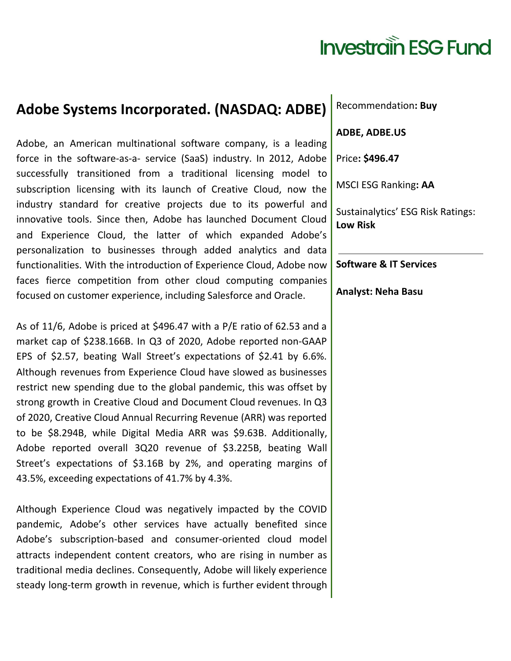## **Investrain ESG Fund**

## **Adobe Systems Incorporated. (NASDAQ: ADBE)**

Adobe, an American multinational software company, is a leading force in the software-as-a- service (SaaS) industry. In 2012, Adobe successfully transitioned from a traditional licensing model to subscription licensing with its launch of Creative Cloud, now the industry standard for creative projects due to its powerful and innovative tools. Since then, Adobe has launched Document Cloud and Experience Cloud, the latter of which expanded Adobe's personalization to businesses through added analytics and data functionalities. With the introduction of Experience Cloud, Adobe now faces fierce competition from other cloud computing companies focused on customer experience, including Salesforce and Oracle.

As of 11/6, Adobe is priced at \$496.47 with a P/E ratio of 62.53 and a market cap of \$238.166B. In Q3 of 2020, Adobe reported non-GAAP EPS of \$2.57, beating Wall Street's expectations of \$2.41 by 6.6%. Although revenues from Experience Cloud have slowed as businesses restrict new spending due to the global pandemic, this was offset by strong growth in Creative Cloud and Document Cloud revenues. In Q3 of 2020, Creative Cloud Annual Recurring Revenue (ARR) was reported to be \$8.294B, while Digital Media ARR was \$9.63B. Additionally, Adobe reported overall 3Q20 revenue of \$3.225B, beating Wall Street's expectations of \$3.16B by 2%, and operating margins of 43.5%, exceeding expectations of 41.7% by 4.3%.

Although Experience Cloud was negatively impacted by the COVID pandemic, Adobe's other services have actually benefited since Adobe's subscription-based and consumer-oriented cloud model attracts independent content creators, who are rising in number as traditional media declines. Consequently, Adobe will likely experience steady long-term growth in revenue, which is further evident through

Recommendation**: Buy**

**ADBE, ADBE.US**

Price**: \$496.47**

MSCI ESG Ranking**: AA**

Sustainalytics' ESG Risk Ratings: **Low Risk**

**Software & IT Services**

**Analyst: Neha Basu**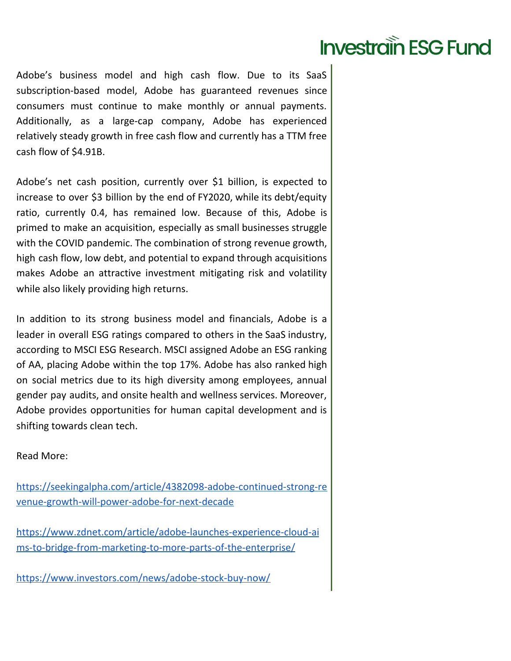## **Investrain ESG Fund**

Adobe's business model and high cash flow. Due to its SaaS subscription-based model, Adobe has guaranteed revenues since consumers must continue to make monthly or annual payments. Additionally, as a large-cap company, Adobe has experienced relatively steady growth in free cash flow and currently has a TTM free cash flow of \$4.91B.

Adobe's net cash position, currently over \$1 billion, is expected to increase to over \$3 billion by the end of FY2020, while its debt/equity ratio, currently 0.4, has remained low. Because of this, Adobe is primed to make an acquisition, especially as small businesses struggle with the COVID pandemic. The combination of strong revenue growth, high cash flow, low debt, and potential to expand through acquisitions makes Adobe an attractive investment mitigating risk and volatility while also likely providing high returns.

In addition to its strong business model and financials, Adobe is a leader in overall ESG ratings compared to others in the SaaS industry, according to MSCI ESG Research. MSCI assigned Adobe an ESG ranking of AA, placing Adobe within the top 17%. Adobe has also ranked high on social metrics due to its high diversity among employees, annual gender pay audits, and onsite health and wellness services. Moreover, Adobe provides opportunities for human capital development and is shifting towards clean tech.

Read More:

[https://seekingalpha.com/article/4382098-adobe-continued-strong-re](https://seekingalpha.com/article/4382098-adobe-continued-strong-revenue-growth-will-power-adobe-for-next-decade) [venue-growth-will-power-adobe-for-next-decade](https://seekingalpha.com/article/4382098-adobe-continued-strong-revenue-growth-will-power-adobe-for-next-decade)

[https://www.zdnet.com/article/adobe-launches-experience-cloud-ai](https://www.zdnet.com/article/adobe-launches-experience-cloud-aims-to-bridge-from-marketing-to-more-parts-of-the-enterprise/) [ms-to-bridge-from-marketing-to-more-parts-of-the-enterprise/](https://www.zdnet.com/article/adobe-launches-experience-cloud-aims-to-bridge-from-marketing-to-more-parts-of-the-enterprise/)

<https://www.investors.com/news/adobe-stock-buy-now/>